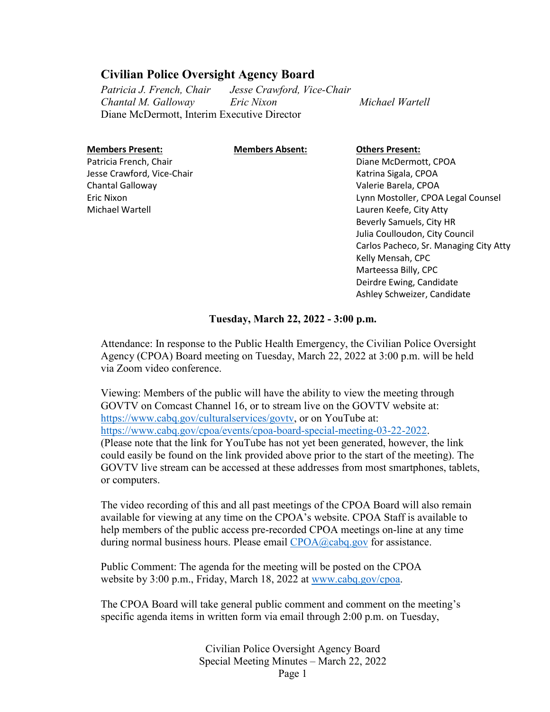#### **Civilian Police Oversight Agency Board**

*Patricia J. French, Chair Jesse Crawford, Vice-Chair Chantal M. Galloway Eric Nixon Michael Wartell* Diane McDermott, Interim Executive Director

#### **Members Present:**

**Members Absent: Others Present:**

Patricia French, Chair Jesse Crawford, Vice-Chair Chantal Galloway Eric Nixon Michael Wartell

Diane McDermott, CPOA Katrina Sigala, CPOA Valerie Barela, CPOA Lynn Mostoller, CPOA Legal Counsel Lauren Keefe, City Atty Beverly Samuels, City HR Julia Coulloudon, City Council Carlos Pacheco, Sr. Managing City Atty Kelly Mensah, CPC Marteessa Billy, CPC Deirdre Ewing, Candidate Ashley Schweizer, Candidate

#### **Tuesday, March 22, 2022 - 3:00 p.m.**

Attendance: In response to the Public Health Emergency, the Civilian Police Oversight Agency (CPOA) Board meeting on Tuesday, March 22, 2022 at 3:00 p.m. will be held via Zoom video conference.

Viewing: Members of the public will have the ability to view the meeting through GOVTV on Comcast Channel 16, or to stream live on the GOVTV website at: [https://www.cabq.gov/culturalservices/govtv,](https://www.cabq.gov/culturalservices/govtv) or on YouTube at: [https://www.cabq.gov/cpoa/events/cpoa-board-special-meeting-03-22-2022.](https://www.cabq.gov/cpoa/events/cpoa-board-special-meeting-03-22-2022) (Please note that the link for YouTube has not yet been generated, however, the link could easily be found on the link provided above prior to the start of the meeting). The GOVTV live stream can be accessed at these addresses from most smartphones, tablets, or computers.

The video recording of this and all past meetings of the CPOA Board will also remain available for viewing at any time on the CPOA's website. CPOA Staff is available to help members of the public access pre-recorded CPOA meetings on-line at any time during normal business hours. Please email [CPOA@cabq.gov](mailto:CPOA@cabq.gov?subject=CPOA%20Board%20Meeting%20Assistance%2004-09-2020) for assistance.

Public Comment: The agenda for the meeting will be posted on the CPOA website by 3:00 p.m., Friday, March 18, 2022 at [www.cabq.gov/cpoa.](http://www.cabq.gov/cpoa)

The CPOA Board will take general public comment and comment on the meeting's specific agenda items in written form via email through 2:00 p.m. on Tuesday,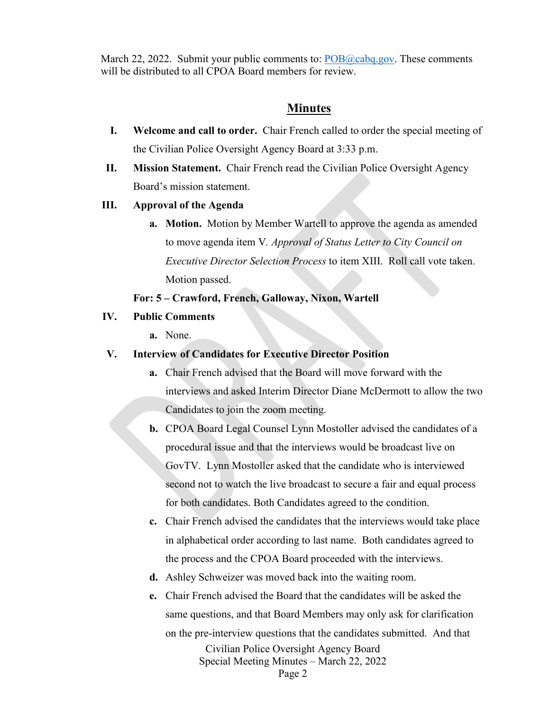March 22, 2022. Submit your public comments to:  $POB@cabq.gov$ . These comments will be distributed to all CPOA Board members for review.

#### **Minutes**

- **I. Welcome and call to order.** Chair French called to order the special meeting of the Civilian Police Oversight Agency Board at 3:33 p.m.
- **II. Mission Statement.** Chair French read the Civilian Police Oversight Agency Board's mission statement.

#### **III. Approval of the Agenda**

**a. Motion.** Motion by Member Wartell to approve the agenda as amended to move agenda item V*. Approval of Status Letter to City Council on Executive Director Selection Process* to item XIII. Roll call vote taken. Motion passed.

#### **For: 5 – Crawford, French, Galloway, Nixon, Wartell**

- **IV. Public Comments**
	- **a.** None.

#### **V. Interview of Candidates for Executive Director Position**

- **a.** Chair French advised that the Board will move forward with the interviews and asked Interim Director Diane McDermott to allow the two Candidates to join the zoom meeting.
- **b.** CPOA Board Legal Counsel Lynn Mostoller advised the candidates of a procedural issue and that the interviews would be broadcast live on GovTV. Lynn Mostoller asked that the candidate who is interviewed second not to watch the live broadcast to secure a fair and equal process for both candidates. Both Candidates agreed to the condition.
- **c.** Chair French advised the candidates that the interviews would take place in alphabetical order according to last name. Both candidates agreed to the process and the CPOA Board proceeded with the interviews.
- **d.** Ashley Schweizer was moved back into the waiting room.
- **e.** Chair French advised the Board that the candidates will be asked the same questions, and that Board Members may only ask for clarification on the pre-interview questions that the candidates submitted. And that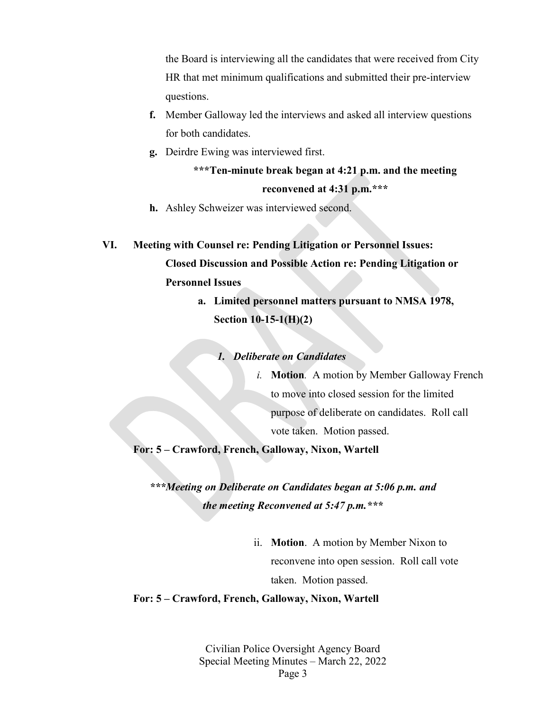the Board is interviewing all the candidates that were received from City HR that met minimum qualifications and submitted their pre-interview questions.

- **f.** Member Galloway led the interviews and asked all interview questions for both candidates.
- **g.** Deirdre Ewing was interviewed first.

```
***Ten-minute break began at 4:21 p.m. and the meeting
  reconvened at 4:31 p.m.***
```
- **h.** Ashley Schweizer was interviewed second.
- **VI. Meeting with Counsel re: Pending Litigation or Personnel Issues: Closed Discussion and Possible Action re: Pending Litigation or Personnel Issues** 
	- **a. Limited personnel matters pursuant to NMSA 1978, Section 10-15-1(H)(2)**

*1. Deliberate on Candidates*

*i.* **Motion***.* A motion by Member Galloway French to move into closed session for the limited purpose of deliberate on candidates. Roll call vote taken. Motion passed.

**For: 5 – Crawford, French, Galloway, Nixon, Wartell** 

*\*\*\*Meeting on Deliberate on Candidates began at 5:06 p.m. and the meeting Reconvened at 5:47 p.m.\*\*\**

> ii. **Motion**.A motion by Member Nixon to reconvene into open session. Roll call vote taken. Motion passed.

#### **For: 5 – Crawford, French, Galloway, Nixon, Wartell**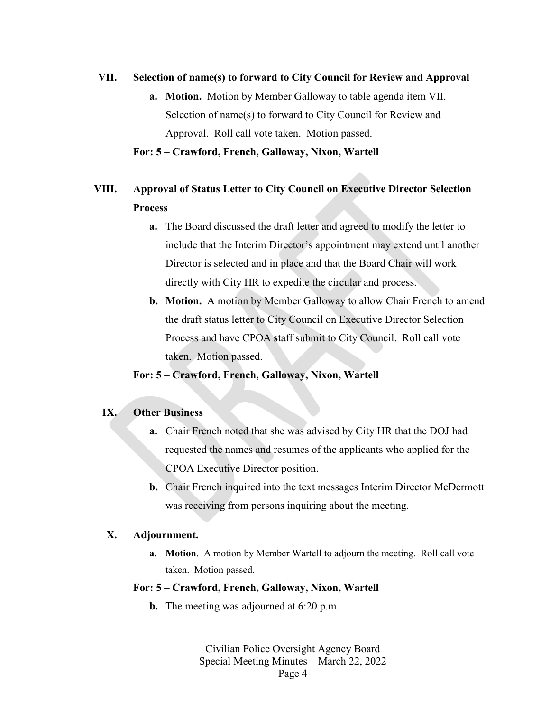#### **VII. Selection of name(s) to forward to City Council for Review and Approval**

**a. Motion.** Motion by Member Galloway to table agenda item VII. Selection of name(s) to forward to City Council for Review and Approval. Roll call vote taken. Motion passed.

#### **For: 5 – Crawford, French, Galloway, Nixon, Wartell**

### **VIII. Approval of Status Letter to City Council on Executive Director Selection Process**

- **a.** The Board discussed the draft letter and agreed to modify the letter to include that the Interim Director's appointment may extend until another Director is selected and in place and that the Board Chair will work directly with City HR to expedite the circular and process.
- **b. Motion.** A motion by Member Galloway to allow Chair French to amend the draft status letter to City Council on Executive Director Selection Process and have CPOA **s**taff submit to City Council. Roll call vote taken. Motion passed.

#### **For: 5 – Crawford, French, Galloway, Nixon, Wartell**

#### **IX. Other Business**

- **a.** Chair French noted that she was advised by City HR that the DOJ had requested the names and resumes of the applicants who applied for the CPOA Executive Director position.
- **b.** Chair French inquired into the text messages Interim Director McDermott was receiving from persons inquiring about the meeting.

#### **X. Adjournment.**

**a. Motion**. A motion by Member Wartell to adjourn the meeting. Roll call vote taken. Motion passed.

#### **For: 5 – Crawford, French, Galloway, Nixon, Wartell**

**b.** The meeting was adjourned at 6:20 p.m.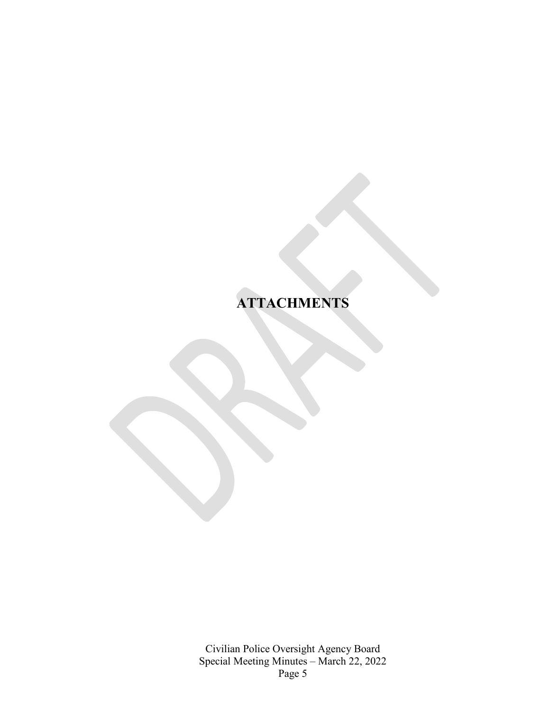## **ATTACHMENTS**